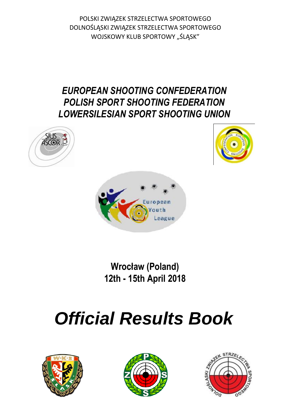POLSKI ZWIĄZEK STRZELECTWA SPORTOWEGO DOLNOŚLĄSKI ZWIĄZEK STRZELECTWA SPORTOWEGO WOJSKOWY KLUB SPORTOWY "ŚLĄSK"

## *EUROPEAN SHOOTING CONFEDERATION POLISH SPORT SHOOTING FEDERATION LOWERSILESIAN SPORT SHOOTING UNION*







**Wrocław (Poland) 12th - 15th April 2018**

# *Official Results Book*





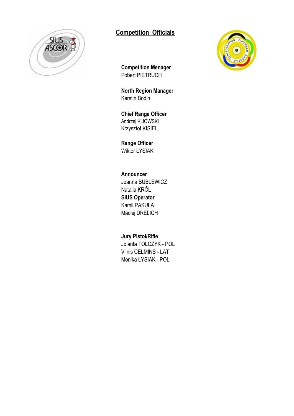

### **Competition Officials**



**Competition Menager** Pobert PIETRUCH

**North Region Manager** Kerstin Bodin

**Chief Range Officer** Andrzej KIJOWSKI Krzysztof KISIEL

**Range Officer** Wiktor ŁYSIAK

**Announcer** Joanna BUBLEWICZ Natalia KRÓL **SIUS Operator** Kamil PAKUŁA Maciej DRELICH

**Jury Pistol/Rifle** Jolanta TOŁCZYK - POL Vilnis CELMINS - LAT Monika ŁYSIAK - POL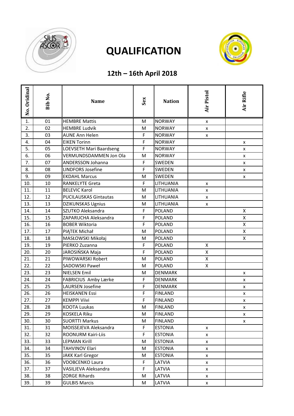

## **QUALIFICATION**



### **12th – 16th April 2018**

| No. Oridinal | Bib No. | <b>Name</b>                  | Sex | <b>Nation</b>  | Air Pistol         | Air Rifle |
|--------------|---------|------------------------------|-----|----------------|--------------------|-----------|
| 1.           | 01      | <b>HEMBRE Mattis</b>         | M   | <b>NORWAY</b>  | x                  |           |
| 2.           | 02      | <b>HEMBRE Ludvik</b>         | M   | <b>NORWAY</b>  | $\pmb{\mathsf{x}}$ |           |
| 3.           | 03      | <b>AUNE Ann Helen</b>        | F   | <b>NORWAY</b>  | X                  |           |
| 4.           | 04      | <b>EIKEN Torinn</b>          | F   | <b>NORWAY</b>  |                    | X         |
| 5.           | 05      | LOEVSETH Mari Baardseng      | F   | <b>NORWAY</b>  |                    | X         |
| 6.           | 06      | VERMUNDSDAMMEN Jon Ola       | M   | <b>NORWAY</b>  |                    | X         |
| 7.           | 07      | ANDERSSON Johanna            | F   | SWEDEN         |                    | X         |
| 8.           | 08      | <b>LINDFORS Josefine</b>     | F   | SWEDEN         |                    | X         |
| 9.           | 09      | <b>EKDAHL Marcus</b>         | M   | SWEDEN         |                    | X         |
| 10.          | 10      | RANKELYTE Greta              | F.  | LITHUANIA      | x                  |           |
| 11.          | 11      | <b>BELEVIC Karol</b>         | M   | LITHUANIA      | $\pmb{\mathsf{x}}$ |           |
| 12.          | 12      | <b>PUCILAUSKAS Gintautas</b> | M   | LITHUANIA      | x                  |           |
| 13.          | 13      | <b>DZIKUNSKAS Ugnius</b>     | M   | LITHUANIA      | x                  |           |
| 14.          | 14      | SZUTKO Aleksandra            | F   | <b>POLAND</b>  |                    | X         |
| 15.          | 15      | ZAPARUCHA Aleksandra         | F   | <b>POLAND</b>  |                    | X         |
| 16.          | 16      | <b>BOBER Wiktoria</b>        | F   | POLAND         |                    | Χ         |
| 17.          | 17      | PIĄTEK Michał                | M   | <b>POLAND</b>  |                    | X         |
| 18.          | 18      | MASŁOWSKI Mikołaj            | M   | <b>POLAND</b>  |                    | X         |
| 19.          | 19      | PIERKO Zuzanna               | F   | <b>POLAND</b>  | X                  |           |
| 20.          | 20      | JAROSIŃSKA Maja              | F   | <b>POLAND</b>  | Χ                  |           |
| 21.          | 21      | PIWOWARSKI Robert            | M   | <b>POLAND</b>  | Χ                  |           |
| 22.          | 22      | SADOWSKI Paweł               | M   | <b>POLAND</b>  | Χ                  |           |
| 23.          | 23      | <b>NIELSEN Emil</b>          | M   | <b>DENMARK</b> |                    | X         |
| 24.          | 24      | FABRICIUS Amby Lærke         | F   | <b>DENMARK</b> |                    | X         |
| 25.          | 25      | LAURSEN Josefine             | F.  | <b>DENMARK</b> |                    | X         |
| 26.          | 26      | <b>HEISKANEN Essi</b>        | F   | <b>FINLAND</b> |                    | X         |
| 27.          | 27      | <b>KEMPPI Viivi</b>          | F   | <b>FINLAND</b> |                    | X         |
| 28.          | 28      | KOOTA Luukas                 | M   | <b>FINLAND</b> |                    | X         |
| 29.          | 29      | <b>KOSKELA Riku</b>          | M   | <b>FINLAND</b> |                    | X         |
| 30.          | 30      | <b>SUORTTI Markus</b>        | M   | <b>FINLAND</b> |                    | X         |
| 31.          | 31      | MOISSEJEVA Aleksandra        | F   | <b>ESTONIA</b> | X                  |           |
| 32.          | 32      | ROONURM Kairi-Liis           | F   | <b>ESTONIA</b> | X                  |           |
| 33.          | 33      | <b>LEPMAN Kirill</b>         | M   | <b>ESTONIA</b> | X                  |           |
| 34.          | 34      | TAHVINOV Elari               | M   | <b>ESTONIA</b> | X                  |           |
| 35.          | 35      | <b>JAKK Karl Gregor</b>      | M   | <b>ESTONIA</b> | X                  |           |
| 36.          | 36      | <b>VDOBCENKO Laura</b>       | F   | LATVIA         | X                  |           |
| 37.          | 37      | VASILJEVA Aleksandra         | F   | LATVIA         | X                  |           |
| 38.          | 38      | <b>ZORGE Rihards</b>         | M   | LATVIA         | X                  |           |
| 39.          | 39      | <b>GULBIS Marcis</b>         | M   | LATVIA         | X                  |           |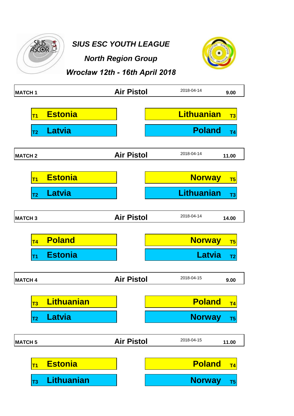

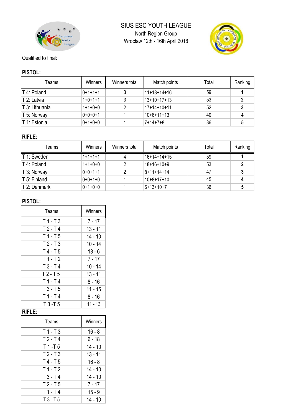



#### Qualified to final:

#### **PISTOL:**

| Teams          | Winners   | Winners total | Match points  | Total | Ranking |
|----------------|-----------|---------------|---------------|-------|---------|
| T 4: Poland    | $0+1+1+1$ |               | $11+18+14+16$ | 59    |         |
| T 2: Latvia    | $1+0+1+1$ |               | $13+10+17+13$ | 53    |         |
| T 3: Lithuania | $1+1+0+0$ |               | $17+14+10+11$ | 52    |         |
| T 5: Norway    | $0+0+0+1$ |               | $10+6+11+13$  | 40    |         |
| T 1: Estonia   | $0+1+0+0$ |               | $7+14+7+8$    | 36    |         |

### **RIFLE:**

| Teams        | Winners   | Winners total | Match points | Total | Ranking |
|--------------|-----------|---------------|--------------|-------|---------|
| T 1: Sweden  | $1+1+1+1$ |               | 16+14+14+15  | 59    |         |
| T 4: Poland  | $1+1+0+0$ |               | $18+16+10+9$ | 53    |         |
| T 3: Norway  | $0+0+1+1$ |               | $8+11+14+14$ | 47    |         |
| T 5: Finland | $0+0+1+0$ |               | $10+8+17+10$ | 45    |         |
| T 2: Denmark | $0+1+0+0$ |               | $6+13+10+7$  | 36    |         |

### **PISTOL:**

| Teams    | Winners   |
|----------|-----------|
| $T1-T3$  | $7 - 17$  |
| $T2-T4$  | $13 - 11$ |
| $T1-T5$  | $14 - 10$ |
| $T2-T3$  | $10 - 14$ |
| $T4-T5$  | $18 - 6$  |
| $T1-T2$  | $7 - 17$  |
| $T3-T4$  | $10 - 14$ |
| $T2-T5$  | $13 - 11$ |
| $T1$ -T4 | $8 - 16$  |
| $T3-T5$  | 11 - 15   |
| $T1-T4$  | $8 - 16$  |
| $T3-T5$  | $11 - 13$ |

### **RIFLE:**

| Teams     | Winners   |
|-----------|-----------|
| $T1-T3$   | $16 - 8$  |
| $T2-T4$   | $6 - 18$  |
| $T1-I5$   | $14 - 10$ |
| $T2-T3$   | $13 - 11$ |
| $T4-T5$   | $16 - 8$  |
| $T1-T2$   | 14 - 10   |
| $T3-T4$   | $14 - 10$ |
| $T2-T5$   | $7 - 17$  |
| $T1-T4$   | $15 - 9$  |
| $T3 - T5$ | 14 - 10   |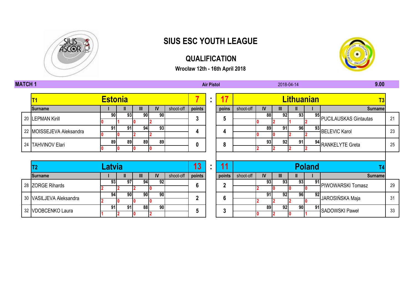

## **SIUS ESC YOUTH LEAGUE**

### **QUALIFICATION**

**Wrocław 12th - 16th April 2018**



#### **MATCH 1 Air Pistol 9.00**

# **T1 Estonia 7 : 17 Lithuanian T3 22 MOISSEJEVA Aleksandra 191 91 94 93 4 4 4** LEPMAN Kirill **3 5**

| <b>Surname</b>           |           |     | Ш |      | IV              | shoot-off | points | poins  | shoot-off | IV        | III | Ш. |               | <b>Surname</b>              |    |
|--------------------------|-----------|-----|---|------|-----------------|-----------|--------|--------|-----------|-----------|-----|----|---------------|-----------------------------|----|
| 20 LEPMAN Kirill         | <b>90</b> | 93  |   | 90 l | 90              |           | າ      | 5      |           | 88        | 92  | 93 |               | 95<br>PUCILAUSKAS Gintautas | 21 |
|                          |           |     |   |      |                 |           |        |        |           |           |     |    |               |                             |    |
| 22 MOISSEJEVA Aleksandra | 91        | 91  |   | 94   | $\overline{93}$ |           |        |        |           | 89        | 91  | 96 |               | 93 BELEVIC Karol            | 23 |
|                          |           |     |   |      |                 |           |        |        |           |           |     |    |               |                             |    |
| 24 TAHVINOV Elari        | 89        | 89  |   | 89   | 89              |           | 0      | 8      |           | 93        | 92  | 91 |               | 94 RANKELYTE Greta          | 25 |
|                          |           |     |   | 10   |                 |           |        |        |           |           |     |    |               |                             |    |
|                          |           |     |   |      |                 |           |        |        |           |           |     |    |               |                             |    |
|                          | _atvia    |     |   |      |                 |           | 13     | 11     |           |           |     |    | <b>Poland</b> |                             |    |
| <b>Surname</b>           |           |     | Ш |      | IV              | shoot-off | points | points | shoot-off | <b>IV</b> | Ш   |    |               | Surnamel                    |    |
|                          | 93        | 971 |   | 94   | 92              |           | 6      |        |           | 93        | 93  | 93 | 91            | PIWOWARSKI Tomasz           | 29 |
| 28 ZORGE Rihards         |           |     |   |      |                 |           |        |        |           |           |     |    |               |                             |    |

2018-04-14

| - -                     | Latvia |            |     |            |           | 1 A    | $\overline{44}$ |           |    |     |            | <b>Poland</b> |                      |    |
|-------------------------|--------|------------|-----|------------|-----------|--------|-----------------|-----------|----|-----|------------|---------------|----------------------|----|
| <b>ISurname</b>         |        |            | Ш   | IV         | shoot-off | points | points          | shoot-off |    |     |            |               | <b>Surname</b>       |    |
| 28 ZORGE Rihards        | 93     |            | 94  |            |           |        | c               |           | 93 | 931 | 93         |               | 91 PIWOWARSKI Tomasz | 29 |
|                         |        |            |     |            |           |        |                 |           |    |     |            |               |                      |    |
| 30 VASILJEVA Aleksandra | 94     | <b>90I</b> | 90I | <b>90I</b> |           |        |                 |           |    | 921 | <b>961</b> | 92            | JAROSIŃSKA Maja      | 31 |
|                         |        |            |     |            |           |        | ю               |           |    |     |            |               |                      |    |
|                         | 91     |            | 881 | <b>90</b>  |           |        |                 |           | 89 | 921 | <b>90</b>  |               | 91 SADOWSKI Paweł    | 33 |
| 32 VDOBCENKO Laura      |        |            |     |            |           |        | w               |           |    |     |            |               |                      |    |

|    | ivia |           |    |           | 13     | 11     |           |    |    |    | <b>Poland</b> |                          |   |
|----|------|-----------|----|-----------|--------|--------|-----------|----|----|----|---------------|--------------------------|---|
|    | "    | Ш         | IV | shoot-off | points | points | shoot-off | IV | Ш  | ш  |               | <b>Surname</b>           |   |
| 93 | 97   | 941       | 92 |           |        | n      |           | 93 | 93 | 93 |               | 91 PIWOWARSKI Tomasz     |   |
|    |      |           |    |           | 6      |        |           |    |    |    |               |                          |   |
| 94 | 90   | <b>90</b> | 90 |           |        |        |           | 91 | 92 | 96 | 92            | JAROSIŃSKA Maja          |   |
|    |      |           |    |           |        | b      |           |    |    |    |               |                          |   |
| 91 | 91   | 88        | 90 |           |        | ּמ     |           | 89 | 92 | 90 | 91            | <b>J</b> CADOMICKI Dowoł | ີ |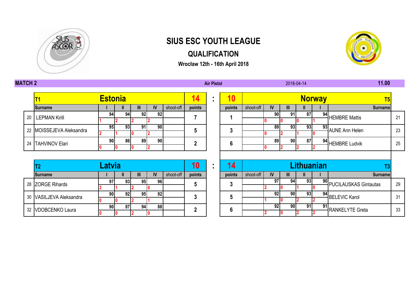

## **SIUS ESC YOUTH LEAGUE**

### **QUALIFICATION**

**Wrocław 12th - 16th April 2018**



**0 2 0 2 0 2 2**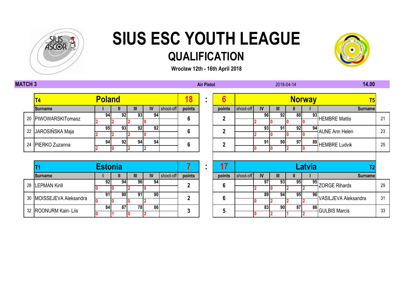



|  |                     | <b>Poland</b> |   |     |     |    |           | 18     | ٠ | e      |           |    |     | Non |  |
|--|---------------------|---------------|---|-----|-----|----|-----------|--------|---|--------|-----------|----|-----|-----|--|
|  | T4                  |               |   |     |     |    |           |        |   |        |           |    |     |     |  |
|  | <b>Surname</b>      |               | Ш |     | Ш   | IV | shoot-off | points |   | points | shoot-off | IV | III | Ш   |  |
|  | 20 PIWOWARSKITomasz | 94            |   | 92  | 931 | 94 |           |        |   |        |           | 96 | 92  | 88  |  |
|  |                     |               |   |     |     |    |           | 6      |   |        |           |    |     |     |  |
|  | 22 JAROSIŃSKA Maja  | 95            |   | 93  | 92  | 92 |           | 6      |   |        |           | 93 | 9٠  | 92  |  |
|  |                     |               |   |     |     |    |           |        |   |        |           |    |     |     |  |
|  | 24 PIERKO Zuzanna   | 94            |   | 921 | 94  | 94 |           | 6      |   |        |           | 91 | 90  | 97  |  |
|  |                     |               |   |     |     |    |           |        |   |        |           |    |     |     |  |

|     |                          | <b>Estonia</b> |    |     |    |           |        |        |           |    |    |    | - 21 |
|-----|--------------------------|----------------|----|-----|----|-----------|--------|--------|-----------|----|----|----|------|
|     | <b>Surname</b>           |                |    | Ш   | IV | shoot-off | points | points | shoot-off | IV | Ш  | Ш  |      |
| -28 | <b>LEPMAN Kirill</b>     | 92             | 94 | 961 | 94 |           |        |        |           | 97 | 93 | 95 |      |
|     |                          |                |    |     |    |           |        |        |           |    |    |    |      |
|     | 30 MOISSEJEVA Aleksandra | 91             | 90 | 91  | 90 |           |        |        |           | 89 | 94 | 95 |      |
|     |                          |                |    |     |    |           |        |        |           |    |    |    |      |
|     |                          | 84             | 87 | 78. | 86 |           |        |        |           | 83 | 90 | 87 |      |
|     | 32 ROONURM Kairi- Liis   |                |    |     |    |           |        |        |           |    |    |    |      |

|  | T <sub>4</sub>           | <b>Poland</b>  |    |    |                 |           | 18           | ٠<br>$\blacksquare$ | 6               |           |    |           |    | <b>Norway</b> | T <sub>5</sub>        |    |  |
|--|--------------------------|----------------|----|----|-----------------|-----------|--------------|---------------------|-----------------|-----------|----|-----------|----|---------------|-----------------------|----|--|
|  | <b>Surname</b>           |                |    | Ш  | IV              | shoot-off | points       |                     | points          | shoot-off | IV | Ш         |    |               | <b>Surname</b>        |    |  |
|  | 20 PIWOWARSKITomasz      | 94             | 92 | 93 | $9\overline{4}$ |           | 6            |                     | $\mathbf{2}$    |           | 96 | 92        | 88 | 93            | <b>HEMBRE Mattis</b>  | 21 |  |
|  |                          |                |    |    |                 |           |              |                     |                 |           |    |           |    |               |                       |    |  |
|  | 22 JAROSIŃSKA Maja       | 95             | 93 | 92 | 92              |           | 6            |                     | $\overline{2}$  |           | 93 | 91        | 92 | 94            | <b>AUNE Ann Helen</b> | 23 |  |
|  |                          |                |    |    |                 |           |              |                     |                 |           |    |           |    |               |                       |    |  |
|  | 24 PIERKO Zuzanna        | 94             | 92 | 94 | 94              |           | 6            |                     | $\overline{2}$  |           | 91 | <b>90</b> | 97 | 89            | HEMBRE Ludvik         | 25 |  |
|  |                          |                |    |    |                 |           |              |                     |                 |           |    |           |    |               |                       |    |  |
|  |                          |                |    |    |                 |           |              |                     |                 |           |    |           |    |               |                       |    |  |
|  |                          | <b>Estonia</b> |    |    |                 |           |              |                     | 17              |           |    |           |    | Latvia        |                       |    |  |
|  | <b>Surname</b>           |                | Ш  | Ш  | IV              | shoot-off | points       |                     | points          | shoot-off | IV | Ш         | Ш  |               | <b>Surname</b>        |    |  |
|  | 28 LEPMAN Kirill         | 92             | 94 | 96 | $9\overline{4}$ |           | 2            |                     | 6               |           | 97 | 93        | 95 | 95            | ZORGE Rihards         | 29 |  |
|  |                          |                |    |    |                 |           |              |                     |                 |           |    |           |    |               |                       |    |  |
|  | 30 MOISSEJEVA Aleksandra | 91             | 90 | 91 | 90              |           | $\mathbf{2}$ |                     | $6\phantom{1}6$ |           | 89 | 94        | 95 | 96            | VASILJEVA Aleksandra  | 31 |  |
|  |                          |                |    |    |                 |           |              |                     |                 |           |    |           |    |               |                       |    |  |
|  |                          | 84             | 87 | 78 | 86              |           | 3            |                     | $5\phantom{.0}$ |           | 83 | <b>90</b> | 87 | 86            | <b>GULBIS Marcis</b>  | 33 |  |
|  | 32 ROONURM Kairi- Liis   |                |    |    |                 |           |              |                     |                 |           |    |           |    |               |                       |    |  |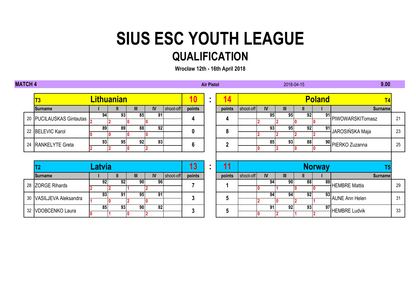| <b>MATCH 4</b> |                          |                 |                   |                     |                         |           |              | <b>Air Pistol</b> |              |           |           |              | 2018-04-15 |                 | 9.00                  |    |
|----------------|--------------------------|-----------------|-------------------|---------------------|-------------------------|-----------|--------------|-------------------|--------------|-----------|-----------|--------------|------------|-----------------|-----------------------|----|
|                | <b>T3</b>                |                 | <b>Lithuanian</b> |                     |                         |           | <b>10</b>    |                   | 14           |           |           |              |            | <b>Poland</b>   | T <sub>4</sub>        |    |
|                | <b>Surname</b>           |                 | Ш                 | Ш                   | <b>IV</b>               | shoot-off | points       |                   | points       | shoot-off | <b>IV</b> | Ш            |            |                 | <b>Surname</b>        |    |
|                | 20 PUCILAUSKAS Gintautas | 94              | 93                | 85                  | 91                      |           | 4            |                   | 4            |           | 95        | 95           | 92         | 91              | PIWOWARSKITomasz      | 21 |
|                |                          | 89              | 89                | 88                  | 10<br> 92               |           |              |                   |              |           | 93        | 95           | 92         | 91              |                       |    |
|                | 22 BELEVIC Karol         | 10              |                   |                     | 10                      |           | 0            |                   | 8            |           |           |              |            |                 | JAROSIŃSKA Maja       | 23 |
|                | 24 RANKELYTE Greta       | 93              | 95                | 92                  | 93                      |           | 6            |                   | $\mathbf{2}$ |           | 85        | 93           | 88         |                 | 90 PIERKO Zuzanna     | 25 |
|                |                          |                 |                   |                     | $\overline{\mathbf{2}}$ |           |              |                   |              |           |           |              |            |                 |                       |    |
|                | T2                       |                 | 13                | ٠<br>$\blacksquare$ | 11<br><b>Norway</b>     |           |              |                   |              | T5        |           |              |            |                 |                       |    |
|                | <b>Surname</b>           |                 | $\mathbf{I}$      | Ш                   | IV                      | shoot-off | points       |                   | points       | shoot-off | IV        | $\mathbf{m}$ | ш          |                 | <b>Surname</b>        |    |
|                | 28 ZORGE Rihards         | 92              | 92                | 90                  | 96                      |           |              |                   |              |           | 94        | 90           | 88         | 89              | <b>HEMBRE Mattis</b>  | 29 |
|                |                          | $\overline{93}$ | $9\overline{1}$   | 95                  | $\overline{91}$         |           |              |                   |              |           | 94        | 94           | 92         | 93              |                       |    |
|                | 30 VASILJEVA Aleksandra  |                 |                   |                     | 10                      |           | $\mathbf{3}$ |                   | 5            |           |           | 10           |            |                 | <b>AUNE Ann Helen</b> | 31 |
| 32             | VDOBCENKO Laura          | 85<br>10        | 93                | 90                  | 92<br>12                |           | 3            |                   | 5            |           | 91        | 92           | 93         | $\overline{97}$ | <b>HEMBRE Ludvik</b>  | 33 |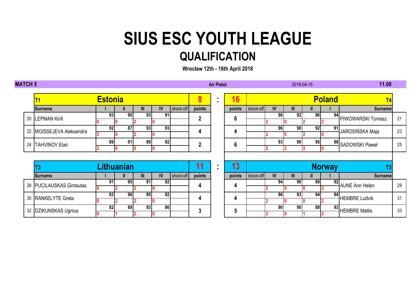| <b>MATCH 5</b> |                      |                          |                        |                   |                 |           |           |                | <b>Air Pistol</b>                |                 |           |           |    | 2018-04-15 |               | 11.00                 |    |
|----------------|----------------------|--------------------------|------------------------|-------------------|-----------------|-----------|-----------|----------------|----------------------------------|-----------------|-----------|-----------|----|------------|---------------|-----------------------|----|
|                |                      |                          | <b>Estonia</b>         |                   |                 |           |           | 8              | $\blacksquare$                   | 16              |           |           |    |            | <b>Poland</b> | T <sub>4</sub>        |    |
|                |                      | <b>Surname</b>           |                        |                   | Ш               | <b>IV</b> | shoot-off | points         |                                  | points          | shoot-off | IV        | Ш  |            |               | <b>Surname</b>        |    |
|                |                      | 20 LEPMAN Kirill         | 93                     | 90                | $\overline{93}$ | 91        |           | $\overline{2}$ |                                  | $6\phantom{1}6$ |           | 96        | 92 | 96         |               | 94 PIWOWARSKI Tomasz  | 21 |
|                |                      |                          |                        |                   |                 |           |           |                |                                  |                 |           |           |    |            |               |                       |    |
|                | 22                   | MOISSEJEVA Aleksandra    | 92                     | 87                | 93              | 93        |           | 4              |                                  | 4               |           | 96        | 90 | 92         | 91            | JAROSIŃSKA Maja       | 23 |
|                |                      |                          |                        |                   |                 |           |           |                |                                  |                 |           |           |    |            |               |                       |    |
|                | 24                   | <b>TAHVINOV Elari</b>    | 89                     | 91                | 89              | 92        |           | $\overline{2}$ |                                  | $6\phantom{1}6$ |           | 93        | 90 | 95         |               | 88 SADOWSKI Paweł     | 25 |
|                |                      |                          |                        |                   |                 | $\bf{0}$  |           |                |                                  |                 |           |           |    |            |               |                       |    |
|                |                      |                          |                        |                   |                 |           |           |                |                                  |                 |           |           |    |            |               |                       |    |
|                |                      | T3                       |                        | <b>Lithuanian</b> |                 |           |           | 11             | $\blacksquare$<br>$\blacksquare$ | 13              |           |           |    |            | <b>Norway</b> |                       |    |
|                |                      | <b>Surname</b>           |                        | Ш                 | $\mathbf{III}$  | IV        | shoot-off | points         |                                  | points          | shoot-off | <b>IV</b> | Ш. | Ш          |               | <b>Surname</b>        |    |
|                |                      | 28 PUCILAUSKAS Gintautas | 91                     | 95                | 91              | 92        |           | 4              |                                  | 4               |           | 94        | 90 | 89         | 92            | <b>AUNE Ann Helen</b> | 29 |
|                |                      |                          | 0                      |                   |                 |           |           |                |                                  |                 |           |           |    |            |               |                       |    |
|                |                      | 30 RANKELYTE Greta       | 93                     | 96                | 95              | 92        |           | 4              |                                  | 4               |           | 96        | 93 | 94         | 94            | <b>HEMBRE Ludvik</b>  | 31 |
|                |                      |                          |                        |                   |                 |           |           |                |                                  |                 |           |           |    |            |               |                       |    |
|                | 32 DZIKUNSKAS Ugnius |                          | $\overline{\text{82}}$ | 89                | 93              | 86        |           | 3              |                                  | 5               |           | 90        | 90 | 89         | 93            | <b>HEMBRE Mattis</b>  | 33 |
|                |                      |                          |                        |                   | $\mathbf 0$     |           |           |                |                                  |                 |           |           |    |            |               |                       |    |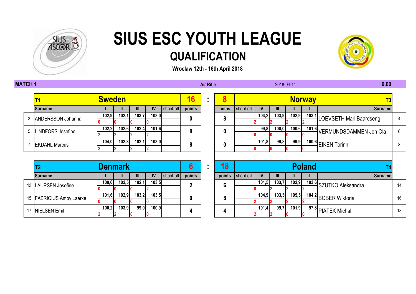

**Wrocław 12th - 16th April 2018**

**MATCH 1 Air Rifle 9.00**



### **102,9 102,1 103,7 103,0 104,2 103,9 102,9 103,1 0 0 0 0 2 2 2 2 102,2 102,6 102,4 101,6 99,8 100,0 100,6 101,6 2 2 2 2 0 0 0 0 104,0 102,3 102,1 103,0 101,8 99,8 99,9 100,6** 5 LINDFORS Josefine **102,2 102,6 102,4 101,6 8** 3 ANDERSSON Johanna **102,9 102,1 103,7 103,0 0 0**

|                            |       | <b>Denmark</b> |       |           |           |        | 18     |           |       |       |       | <b>Poland</b> |                           |
|----------------------------|-------|----------------|-------|-----------|-----------|--------|--------|-----------|-------|-------|-------|---------------|---------------------------|
| <b>Surname</b>             |       |                |       | <b>IV</b> | shoot-off | points | points | shoot-off | IV    | III   |       |               |                           |
| 13   LAURSEN Josefine      | 100,0 | 102,5          | 102,1 | 103,5     |           |        | 6      |           | 101,5 | 103,7 | 102,9 |               | 103,6 SZUTKO Aleksandra   |
|                            |       |                |       |           |           |        |        |           |       |       |       |               |                           |
| 15   FABRICIUS Amby Laerke | 101,6 | 102.9          | 103,2 | 103,5     |           | 0      | 8      |           | 104,9 | 103,5 | 105,5 |               | 104,2 BOBER Wiktoria      |
|                            |       |                |       |           |           |        |        |           |       |       |       |               |                           |
| 17 NIELSEN Emil            | 100,2 | 103,9          | 99,0  | 100,9     |           |        |        |           | 101,4 | 99,7  | 101,9 |               | <u>97,8</u> PIATEK Michał |
|                            |       |                |       |           |           |        |        |           |       |       |       |               |                           |

|                            | <b>Sweden</b> |                         |       |       |           | 16             | 8      |           |           |       |       | <b>Norway</b>      |                              |    |
|----------------------------|---------------|-------------------------|-------|-------|-----------|----------------|--------|-----------|-----------|-------|-------|--------------------|------------------------------|----|
| <b>Surname</b>             |               |                         | Ш     | IV.   | shoot-off | points         | poins  | shoot-off | <b>IV</b> |       |       |                    | Surname <sup>®</sup>         |    |
| 3 ANDERSSON Johanna        | 102,9         | 102,1                   | 103,7 | 103,0 |           | 0              | 8      |           | 104,2     | 103,9 | 102,9 | 103,1              | LOEVSETH Mari Baardseng      |    |
|                            |               |                         |       |       |           |                |        |           |           |       |       |                    |                              |    |
| 5   LINDFORS Josefine      | 102,2         | 102,6                   | 102,4 | 101,6 |           | 8              | 0      |           | 99,8      | 100,0 | 100,6 |                    | 101,6 VERMUNDSDAMMEN Jon Ola | 6  |
|                            |               |                         |       |       |           |                |        |           |           |       |       |                    |                              |    |
| <b>EKDAHL Marcus</b>       | 104,0         | 102,3<br>102,1<br>103,0 |       |       | 8         | 0              |        | 101,8     | 99,8      | 99,9  |       | 100,6 EIKEN Torinn | 8                            |    |
|                            |               |                         |       |       |           |                |        |           |           |       |       |                    |                              |    |
|                            |               |                         |       |       |           |                |        |           |           |       |       |                    |                              |    |
| T <sub>2</sub>             |               | <b>Denmark</b>          |       |       |           | 6              | 18     |           |           |       |       | <b>Poland</b>      |                              |    |
| <b>Surname</b>             |               |                         | Ш     | IV    | shoot-off | points         | points | shoot-off | IV        |       |       |                    | <b>Surname</b>               |    |
| 13  LAURSEN Josefine       | 100,0         | 102,5                   | 102,1 | 103,5 |           | $\overline{2}$ | 6      |           | 101,5     | 103,7 | 102,9 |                    | 103,6 SZUTKO Aleksandra      | 14 |
|                            |               |                         |       |       |           |                |        |           |           |       |       |                    |                              |    |
| 15   FABRICIUS Amby Laerke | 101,6         | 102,9                   | 103,2 | 103,5 |           | 0              | 8      |           | 104,9     | 103,5 | 105,5 |                    | 104,2 BOBER Wiktoria         | 16 |
|                            |               |                         |       |       |           |                |        |           |           |       |       |                    |                              |    |
| 17 NIELSEN Emil            | 100,2         | 103,9                   | 99,0  | 100,9 |           | 4              | 4      |           | 101,4     | 99,7  | 101,9 |                    | 97,8 PIATEK Michał           | 18 |
|                            |               |                         |       |       |           |                |        |           |           |       |       |                    |                              |    |

2018-04-14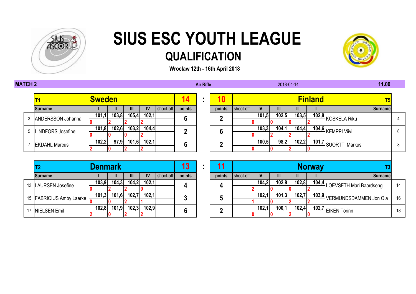

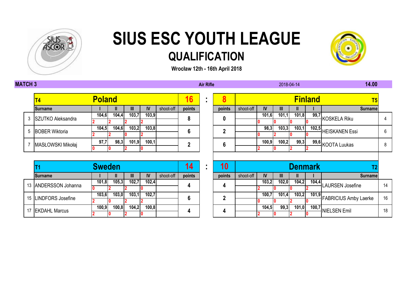



**Wrocław 12th - 16th April 2018**

#### **MATCH 3 Air Rifle 14.00**

| T <sub>4</sub>      | <b>Poland</b> |       |       |       |           | 16     |        |           |       |                | <u>Finla</u> |  |
|---------------------|---------------|-------|-------|-------|-----------|--------|--------|-----------|-------|----------------|--------------|--|
| <b>Surname</b>      |               | Ш     | Ш     | IV    | shoot-off | points | points | shoot-off | IV    | $\mathbf{III}$ | Ш            |  |
| 3 SZUTKO Aleksandra | 104,6         | 104,4 | 103,7 | 103,9 |           |        |        |           | 101,6 | 101,1          | 101,8        |  |
|                     |               |       |       |       |           |        | 0      |           |       |                |              |  |
| 5 BOBER Wiktoria    | 104,5         | 104,6 | 103,2 | 103,8 |           |        |        |           | 98,3  | 103,3          | 103,1        |  |
|                     |               |       |       |       |           |        |        |           |       |                |              |  |
|                     | 97,7          | 98,3  | 101,9 | 100,1 |           |        |        |           | 100.9 | 100,2          | 99,3         |  |
| MASŁOWSKI Mikołaj   |               |       |       |       |           |        | 6      |           |       |                |              |  |

|  |                      | <b>Sweden</b> |       |       |       |           |        | 10     |           |       |       | Denmark |       | רד                                             |
|--|----------------------|---------------|-------|-------|-------|-----------|--------|--------|-----------|-------|-------|---------|-------|------------------------------------------------|
|  | <b>Surname</b>       |               |       | W.    | IV    | shoot-off | points | points | shoot-off | IV    | Ш     |         |       | Surname                                        |
|  | 13 ANDERSSON Johanna | 101,8         | 105,3 | 102,7 | 102,4 |           |        |        |           | 103,2 | 102,0 | 104,2   | 104,4 | <b>LAURSEN Josefine</b>                        |
|  |                      |               |       |       |       |           |        |        |           |       |       |         |       |                                                |
|  | 15 LINDFORS Josefine | 103,6         | 103,0 | 103,1 | 102,7 |           |        | n      |           | 100.7 | 101,4 | 103,2   |       | $\frac{1}{\sqrt{101.9}}$ FABRICIUS Amby Laerke |
|  |                      |               |       |       |       |           |        |        |           |       |       |         |       |                                                |
|  |                      | 100,9         | 100,8 | 104,2 | 100,8 |           |        |        |           | 104,5 | 99,3  | 101,0   |       | v., ul 100,7 NIELSEN Emil                      |
|  | 17 EKDAHL Marcus     |               |       |       |       |           |        |        |           |       |       |         |       |                                                |

| $\mathsf{T4}$       |                                                                                                                 | <b>Poland</b> |  |                                                                                                                 |                                   |               |                                                    | 16     | 8      |           |       |       |                | <b>Finland</b> | T <sub>5</sub>          |   |  |
|---------------------|-----------------------------------------------------------------------------------------------------------------|---------------|--|-----------------------------------------------------------------------------------------------------------------|-----------------------------------|---------------|----------------------------------------------------|--------|--------|-----------|-------|-------|----------------|----------------|-------------------------|---|--|
| <b>Surname</b>      |                                                                                                                 |               |  |                                                                                                                 | Ш                                 | <b>IV</b>     | shoot-off                                          | points | points | shoot-off | IV    | Ш     |                |                | Surnamel                |   |  |
| 3 SZUTKO Aleksandra |                                                                                                                 | 104,6         |  | 104,4                                                                                                           | 103,7                             | 103,9         |                                                    | 8      | 0      |           | 101,6 | 101,1 | 101,8          |                | 199,7 KOSKELA Riku      |   |  |
|                     |                                                                                                                 |               |  |                                                                                                                 |                                   |               |                                                    |        |        |           |       |       |                |                |                         |   |  |
|                     |                                                                                                                 | 104,5         |  | 104,6                                                                                                           | 103,2                             | 103,8         |                                                    | 6      | n      |           | 98,3  | 103,3 | 103,1          |                | 102,5<br>HEISKANEN Essi | 6 |  |
| 5 BOBER Wiktoria    |                                                                                                                 |               |  |                                                                                                                 |                                   |               |                                                    |        |        |           |       |       |                |                |                         |   |  |
| MASŁOWSKI Mikołaj   |                                                                                                                 | 97,7          |  | 98,3                                                                                                            | 101,9                             | 100,1         |                                                    | ŋ      | 6      |           | 100,9 | 100,2 | 99,3           |                | 99,6 KOOTA Luukas       | 8 |  |
|                     |                                                                                                                 |               |  |                                                                                                                 |                                   |               |                                                    |        |        |           |       |       |                |                |                         |   |  |
|                     |                                                                                                                 |               |  |                                                                                                                 |                                   |               |                                                    |        |        |           |       |       |                |                |                         |   |  |
|                     |                                                                                                                 | <b>Sweden</b> |  |                                                                                                                 |                                   |               |                                                    | 4      | 10     |           |       |       | <b>Denmark</b> |                |                         |   |  |
|                     | the contract of the contract of the contract of the contract of the contract of the contract of the contract of |               |  | the contract of the contract of the contract of the contract of the contract of the contract of the contract of | <b>Contract Contract Contract</b> | $\sim$ $\sim$ | <u> 1955 - Andrea Barbara, filozof a filozof e</u> |        |        |           |       |       |                |                |                         |   |  |

2018-04-14

|  |                        | <u>Umumuli</u> |        |       |       |           |        | . .    |           |        |       | <u>РМ ничи</u> |       |                                             |    |
|--|------------------------|----------------|--------|-------|-------|-----------|--------|--------|-----------|--------|-------|----------------|-------|---------------------------------------------|----|
|  | <b>Surname</b>         |                |        | Ш     | IV    | shoot-off | points | points | shoot-off | IV     | Ш     |                |       | Surnamel                                    |    |
|  | 13 ANDERSSON Johanna   | 101,8          | 105,3  | 102.7 | 102,4 |           |        |        |           | 103.2I | 102,0 | 104,2          | 104,4 | HLAURSEN Josefine                           |    |
|  |                        |                |        |       |       |           |        |        |           |        |       |                |       |                                             |    |
|  | 15   LINDFORS Josefine | 103,6          | 103,0  | 103,1 | 102,7 |           |        |        |           | 100,7  | 101.4 |                |       | $\frac{1}{2}$ 101,9 FABRICIUS Amby Laerke 1 | 16 |
|  |                        |                |        |       |       |           |        |        |           |        |       |                |       |                                             |    |
|  | 17 EKDAHL Marcus       | 100,9          | 100, 8 | 104,2 | 100,8 |           |        |        |           | 104.51 | 99,3  | 101,0          |       | 100,7<br>NIELSEN Emil                       | 18 |
|  |                        |                |        |       |       |           |        |        |           |        |       |                |       |                                             |    |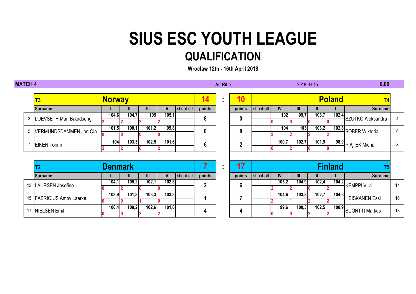| <b>MATCH 4</b> |   |                            |                |              |       |       |           |             | <b>Air Rifle</b> |              |           |           |                | 2018-04-15 |                | 9.00                       |    |
|----------------|---|----------------------------|----------------|--------------|-------|-------|-----------|-------------|------------------|--------------|-----------|-----------|----------------|------------|----------------|----------------------------|----|
|                |   | T3                         | <b>Norway</b>  |              |       |       |           | 14          |                  | 10           |           |           |                |            | <b>Poland</b>  | T <sub>4</sub>             |    |
|                |   | <b>Surname</b>             |                | Ш            | Ш     | IV    | shoot-off | points      |                  | points       | shoot-off | <b>IV</b> | $\mathbf{III}$ |            |                | <b>Surname</b>             |    |
|                | 3 | LOEVSETH Mari Baardseng    | 104,6          | 104,7        | 105   | 105,1 |           | 8           |                  | 0            |           | 102       | 99,7           | 103,7      |                | 102,4<br>SZUTKO Aleksandra |    |
|                |   |                            |                |              |       |       |           |             |                  |              |           |           |                |            |                |                            |    |
|                | 5 | VERMUNDSDAMMEN Jon Ola     | 101,5          | 100,1        | 101,2 | 99,8  |           | 0           |                  | 8            |           | 104       | 103            | 103,2      |                | 102,8 BOBER Wiktoria       | 6  |
|                |   |                            |                |              |       |       |           |             |                  |              |           |           |                |            |                |                            |    |
|                |   | <b>EIKEN Torinn</b>        | 104            | 103,3        | 102,5 | 101,6 |           | 6           |                  | $\mathbf{2}$ |           | 100,7     | 102,7          | 101,9      |                | 98,9 PIATEK Michał         | 8  |
|                |   |                            |                |              |       |       |           |             |                  |              |           |           |                |            |                |                            |    |
|                |   |                            |                |              |       |       |           |             |                  |              |           |           |                |            |                |                            |    |
|                |   | Τ2                         | <b>Denmark</b> |              |       |       |           | 7           | $\blacksquare$   | 17           |           |           |                |            | <b>Finland</b> | T5                         |    |
|                |   | <b>Surname</b>             |                | $\mathbf{I}$ | Ш     | IV    | shoot-off | points      |                  | points       | shoot-off | <b>IV</b> | $\mathbf{III}$ |            |                | <b>Surname</b>             |    |
|                |   | 13 LAURSEN Josefine        | 104,1          | 105,2        | 102,1 | 102,8 |           | $\mathbf 2$ |                  | 6            |           | 105,2     | 104,9          | 102,4      |                | 104,2 KEMPPI Viivi         | 14 |
|                |   |                            |                |              |       |       |           |             |                  |              |           |           |                |            |                |                            |    |
|                |   | 15   FABRICIUS Amby Laerke | 103,9          | 101,8        | 103,3 | 103,3 |           |             |                  |              |           | 104,6     | 103,3          | 102,7      |                | 104,6<br>HEISKANEN Essi    | 16 |
|                |   |                            |                | 10           |       | 10    |           |             |                  |              |           |           |                |            |                |                            |    |
|                |   |                            | 100,4          | 100,2        | 102,6 | 101,6 |           | 4           |                  | 4            |           | 99,6      | 100,3          | 102,5      |                | 100,9 SUORTTI Markus       | 18 |
|                |   | 17 NIELSEN Emil            |                | 10           |       |       |           |             |                  |              |           |           |                |            |                |                            |    |